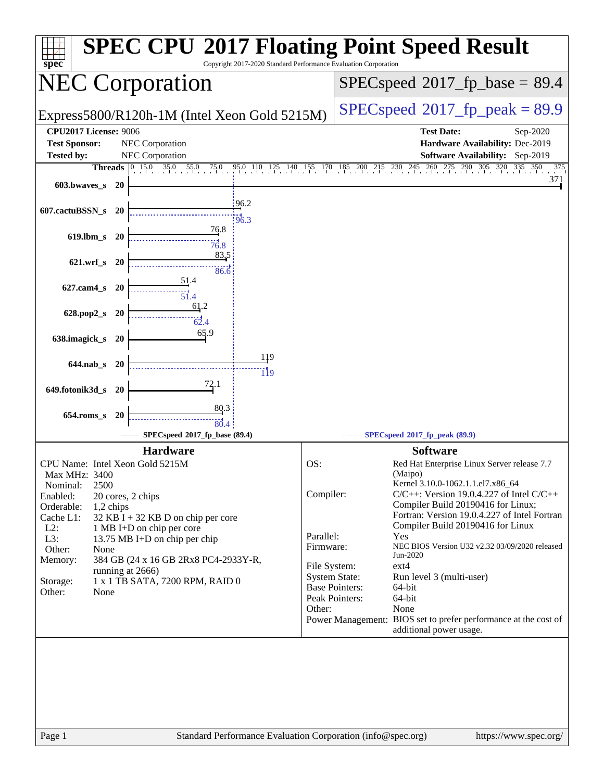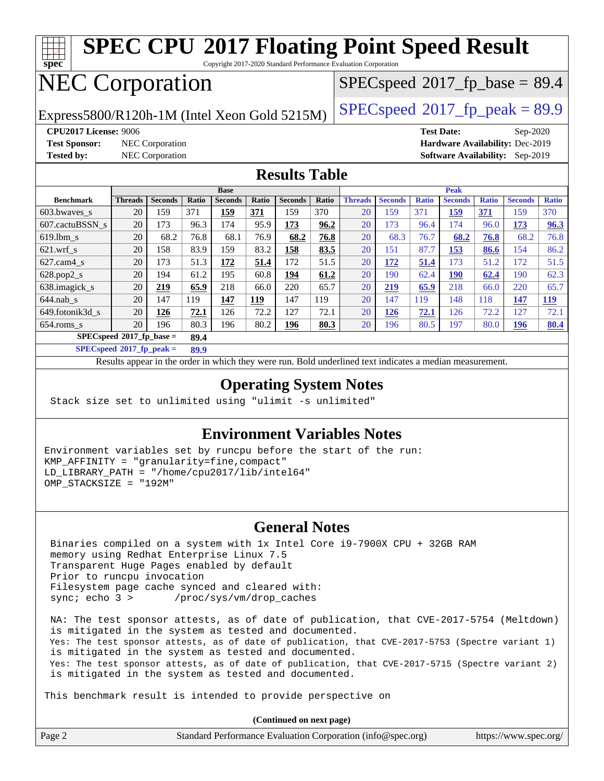

## NEC Corporation

 $SPECspeed*2017_fp\_base = 89.4$  $SPECspeed*2017_fp\_base = 89.4$ 

Express5800/R120h-1M (Intel Xeon Gold 5215M)  $\big|$  [SPECspeed](http://www.spec.org/auto/cpu2017/Docs/result-fields.html#SPECspeed2017fppeak)®[2017\\_fp\\_peak = 8](http://www.spec.org/auto/cpu2017/Docs/result-fields.html#SPECspeed2017fppeak)9.9

**[Test Sponsor:](http://www.spec.org/auto/cpu2017/Docs/result-fields.html#TestSponsor)** NEC Corporation **[Hardware Availability:](http://www.spec.org/auto/cpu2017/Docs/result-fields.html#HardwareAvailability)** Dec-2019

**[CPU2017 License:](http://www.spec.org/auto/cpu2017/Docs/result-fields.html#CPU2017License)** 9006 **[Test Date:](http://www.spec.org/auto/cpu2017/Docs/result-fields.html#TestDate)** Sep-2020 **[Tested by:](http://www.spec.org/auto/cpu2017/Docs/result-fields.html#Testedby)** NEC Corporation **[Software Availability:](http://www.spec.org/auto/cpu2017/Docs/result-fields.html#SoftwareAvailability)** Sep-2019

### **[Results Table](http://www.spec.org/auto/cpu2017/Docs/result-fields.html#ResultsTable)**

| <b>Base</b>                        |                |                |       |                |            |                |       | <b>Peak</b>    |                |              |                |              |                |              |
|------------------------------------|----------------|----------------|-------|----------------|------------|----------------|-------|----------------|----------------|--------------|----------------|--------------|----------------|--------------|
| <b>Benchmark</b>                   | <b>Threads</b> | <b>Seconds</b> | Ratio | <b>Seconds</b> | Ratio      | <b>Seconds</b> | Ratio | <b>Threads</b> | <b>Seconds</b> | <b>Ratio</b> | <b>Seconds</b> | <b>Ratio</b> | <b>Seconds</b> | <b>Ratio</b> |
| 603.bwayes s                       | 20             | 159            | 371   | 159            | 371        | 159            | 370   | 20             | 159            | 371          | 159            | <b>371</b>   | 159            | 370          |
| 607.cactuBSSN s                    | 20             | 173            | 96.3  | 174            | 95.9       | 173            | 96.2  | 20             | 173            | 96.4         | 174            | 96.0         | 173            | 96.3         |
| $619.1$ bm s                       | 20             | 68.2           | 76.8  | 68.1           | 76.9       | 68.2           | 76.8  | 20             | 68.3           | 76.7         | 68.2           | 76.8         | 68.2           | 76.8         |
| $621$ wrf s                        | 20             | 158            | 83.9  | 159            | 83.2       | 158            | 83.5  | 20             | 151            | 87.7         | 153            | 86.6         | 154            | 86.2         |
| $627$ .cam4 s                      | 20             | 173            | 51.3  | 172            | 51.4       | 172            | 51.5  | 20             | 172            | 51.4         | 173            | 51.2         | 172            | 51.5         |
| $628.pop2_s$                       | 20             | 194            | 61.2  | 195            | 60.8       | 194            | 61.2  | 20             | 190            | 62.4         | 190            | 62.4         | 190            | 62.3         |
| 638.imagick_s                      | 20             | 219            | 65.9  | 218            | 66.0       | 220            | 65.7  | 20             | 219            | 65.9         | 218            | 66.0         | 220            | 65.7         |
| $644$ .nab s                       | 20             | 147            | 119   | 147            | <u>119</u> | 147            | 119   | 20             | 147            | 119          | 148            | 118          | 147            | 119          |
| 649.fotonik3d s                    | 20             | 126            | 72.1  | 126            | 72.2       | 127            | 72.1  | 20             | 126            | 72.1         | 126            | 72.2         | 127            | 72.1         |
| $654$ .roms s                      | 20             | 196            | 80.3  | 196            | 80.2       | 196            | 80.3  | 20             | 196            | 80.5         | 197            | 80.0         | 196            | 80.4         |
| $SPECspeed*2017$ fp base =<br>89.4 |                |                |       |                |            |                |       |                |                |              |                |              |                |              |

**[SPECspeed](http://www.spec.org/auto/cpu2017/Docs/result-fields.html#SPECspeed2017fppeak)[2017\\_fp\\_peak =](http://www.spec.org/auto/cpu2017/Docs/result-fields.html#SPECspeed2017fppeak) 89.9**

Results appear in the [order in which they were run.](http://www.spec.org/auto/cpu2017/Docs/result-fields.html#RunOrder) Bold underlined text [indicates a median measurement](http://www.spec.org/auto/cpu2017/Docs/result-fields.html#Median).

### **[Operating System Notes](http://www.spec.org/auto/cpu2017/Docs/result-fields.html#OperatingSystemNotes)**

Stack size set to unlimited using "ulimit -s unlimited"

### **[Environment Variables Notes](http://www.spec.org/auto/cpu2017/Docs/result-fields.html#EnvironmentVariablesNotes)**

Environment variables set by runcpu before the start of the run: KMP\_AFFINITY = "granularity=fine,compact" LD\_LIBRARY\_PATH = "/home/cpu2017/lib/intel64" OMP\_STACKSIZE = "192M"

### **[General Notes](http://www.spec.org/auto/cpu2017/Docs/result-fields.html#GeneralNotes)**

 Binaries compiled on a system with 1x Intel Core i9-7900X CPU + 32GB RAM memory using Redhat Enterprise Linux 7.5 Transparent Huge Pages enabled by default Prior to runcpu invocation Filesystem page cache synced and cleared with: sync; echo 3 > /proc/sys/vm/drop\_caches

 NA: The test sponsor attests, as of date of publication, that CVE-2017-5754 (Meltdown) is mitigated in the system as tested and documented. Yes: The test sponsor attests, as of date of publication, that CVE-2017-5753 (Spectre variant 1) is mitigated in the system as tested and documented. Yes: The test sponsor attests, as of date of publication, that CVE-2017-5715 (Spectre variant 2) is mitigated in the system as tested and documented.

This benchmark result is intended to provide perspective on

**(Continued on next page)**

| Page 2<br>Standard Performance Evaluation Corporation (info@spec.org)<br>https://www.spec.org/ |
|------------------------------------------------------------------------------------------------|
|------------------------------------------------------------------------------------------------|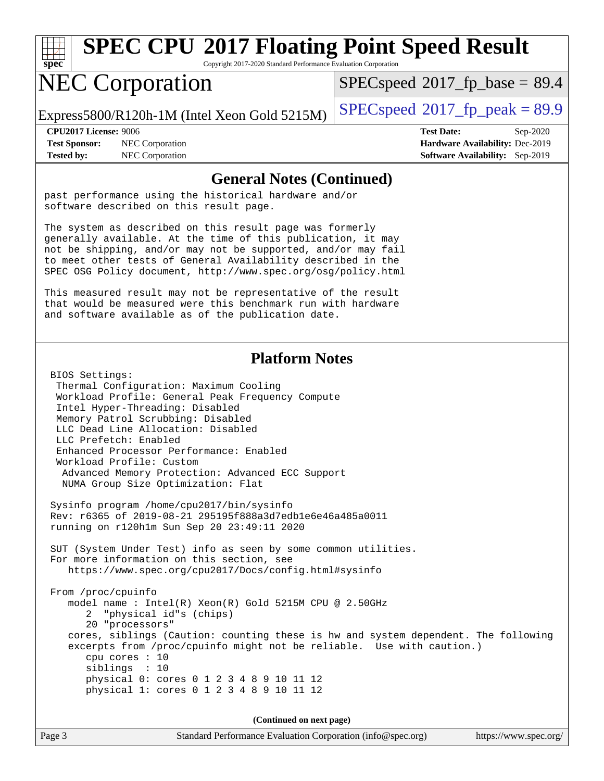

# **[SPEC CPU](http://www.spec.org/auto/cpu2017/Docs/result-fields.html#SPECCPU2017FloatingPointSpeedResult)[2017 Floating Point Speed Result](http://www.spec.org/auto/cpu2017/Docs/result-fields.html#SPECCPU2017FloatingPointSpeedResult)**

Copyright 2017-2020 Standard Performance Evaluation Corporation

## NEC Corporation

 $SPECspeed*2017_fp\_base = 89.4$  $SPECspeed*2017_fp\_base = 89.4$ 

Express5800/R120h-1M (Intel Xeon Gold 5215M)  $\left|$  [SPECspeed](http://www.spec.org/auto/cpu2017/Docs/result-fields.html#SPECspeed2017fppeak)®[2017\\_fp\\_peak = 8](http://www.spec.org/auto/cpu2017/Docs/result-fields.html#SPECspeed2017fppeak)9.9

**[CPU2017 License:](http://www.spec.org/auto/cpu2017/Docs/result-fields.html#CPU2017License)** 9006 **[Test Date:](http://www.spec.org/auto/cpu2017/Docs/result-fields.html#TestDate)** Sep-2020 **[Test Sponsor:](http://www.spec.org/auto/cpu2017/Docs/result-fields.html#TestSponsor)** NEC Corporation **[Hardware Availability:](http://www.spec.org/auto/cpu2017/Docs/result-fields.html#HardwareAvailability)** Dec-2019 **[Tested by:](http://www.spec.org/auto/cpu2017/Docs/result-fields.html#Testedby)** NEC Corporation **[Software Availability:](http://www.spec.org/auto/cpu2017/Docs/result-fields.html#SoftwareAvailability)** Sep-2019

#### **[General Notes \(Continued\)](http://www.spec.org/auto/cpu2017/Docs/result-fields.html#GeneralNotes)**

past performance using the historical hardware and/or software described on this result page.

The system as described on this result page was formerly generally available. At the time of this publication, it may not be shipping, and/or may not be supported, and/or may fail to meet other tests of General Availability described in the SPEC OSG Policy document, <http://www.spec.org/osg/policy.html>

This measured result may not be representative of the result that would be measured were this benchmark run with hardware and software available as of the publication date.

### **[Platform Notes](http://www.spec.org/auto/cpu2017/Docs/result-fields.html#PlatformNotes)**

 BIOS Settings: Thermal Configuration: Maximum Cooling Workload Profile: General Peak Frequency Compute Intel Hyper-Threading: Disabled Memory Patrol Scrubbing: Disabled LLC Dead Line Allocation: Disabled LLC Prefetch: Enabled Enhanced Processor Performance: Enabled Workload Profile: Custom Advanced Memory Protection: Advanced ECC Support NUMA Group Size Optimization: Flat

 Sysinfo program /home/cpu2017/bin/sysinfo Rev: r6365 of 2019-08-21 295195f888a3d7edb1e6e46a485a0011 running on r120h1m Sun Sep 20 23:49:11 2020

 SUT (System Under Test) info as seen by some common utilities. For more information on this section, see <https://www.spec.org/cpu2017/Docs/config.html#sysinfo>

 From /proc/cpuinfo model name : Intel(R) Xeon(R) Gold 5215M CPU @ 2.50GHz 2 "physical id"s (chips) 20 "processors" cores, siblings (Caution: counting these is hw and system dependent. The following excerpts from /proc/cpuinfo might not be reliable. Use with caution.) cpu cores : 10 siblings : 10 physical 0: cores 0 1 2 3 4 8 9 10 11 12 physical 1: cores 0 1 2 3 4 8 9 10 11 12

**(Continued on next page)**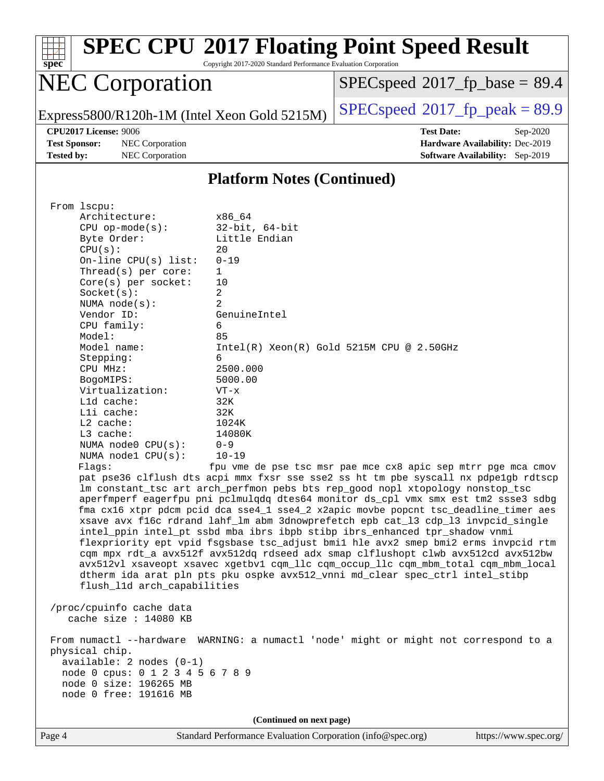| <b>SPEC CPU®2017 Floating Point Speed Result</b><br>Copyright 2017-2020 Standard Performance Evaluation Corporation<br>spec <sup>®</sup>                                                                                                                                                                                                                                                                                                            |                                                                                                     |  |  |  |  |  |  |  |
|-----------------------------------------------------------------------------------------------------------------------------------------------------------------------------------------------------------------------------------------------------------------------------------------------------------------------------------------------------------------------------------------------------------------------------------------------------|-----------------------------------------------------------------------------------------------------|--|--|--|--|--|--|--|
| <b>NEC Corporation</b>                                                                                                                                                                                                                                                                                                                                                                                                                              | $SPEC speed^{\circ}2017\_fp\_base = 89.4$                                                           |  |  |  |  |  |  |  |
| Express5800/R120h-1M (Intel Xeon Gold 5215M)                                                                                                                                                                                                                                                                                                                                                                                                        | $SPEC speed^{\circ}2017$ [p_peak = 89.9                                                             |  |  |  |  |  |  |  |
| <b>CPU2017 License: 9006</b><br><b>Test Sponsor:</b><br><b>NEC</b> Corporation<br><b>Tested by:</b><br><b>NEC</b> Corporation                                                                                                                                                                                                                                                                                                                       | <b>Test Date:</b><br>Sep-2020<br>Hardware Availability: Dec-2019<br>Software Availability: Sep-2019 |  |  |  |  |  |  |  |
| <b>Platform Notes (Continued)</b>                                                                                                                                                                                                                                                                                                                                                                                                                   |                                                                                                     |  |  |  |  |  |  |  |
| From 1scpu:<br>Architecture:<br>x86 64<br>$32$ -bit, $64$ -bit<br>$CPU$ op-mode( $s$ ):<br>Little Endian<br>Byte Order:<br>CPU(s):<br>20<br>$On$ -line CPU $(s)$ list:<br>$0 - 19$<br>Thread( $s$ ) per core:<br>1.<br>$Core(s)$ per socket:<br>10<br>$\overline{c}$<br>Socket(s):<br>$\overline{a}$<br>NUMA $node(s)$ :<br>Vendor ID:<br>GenuineIntel<br>CPU family:<br>6<br>Model:<br>85<br>Model name:<br>Stepping:<br>6<br>2500.000<br>CPU MHz: | Intel(R) Xeon(R) Gold 5215M CPU @ 2.50GHz                                                           |  |  |  |  |  |  |  |

Flags: fpu vme de pse tsc msr pae mce cx8 apic sep mtrr pge mca cmov pat pse36 clflush dts acpi mmx fxsr sse sse2 ss ht tm pbe syscall nx pdpe1gb rdtscp lm constant\_tsc art arch\_perfmon pebs bts rep\_good nopl xtopology nonstop\_tsc aperfmperf eagerfpu pni pclmulqdq dtes64 monitor ds\_cpl vmx smx est tm2 ssse3 sdbg fma cx16 xtpr pdcm pcid dca sse4\_1 sse4\_2 x2apic movbe popcnt tsc\_deadline\_timer aes xsave avx f16c rdrand lahf\_lm abm 3dnowprefetch epb cat\_l3 cdp\_l3 invpcid\_single intel\_ppin intel\_pt ssbd mba ibrs ibpb stibp ibrs\_enhanced tpr\_shadow vnmi flexpriority ept vpid fsgsbase tsc\_adjust bmi1 hle avx2 smep bmi2 erms invpcid rtm cqm mpx rdt\_a avx512f avx512dq rdseed adx smap clflushopt clwb avx512cd avx512bw avx512vl xsaveopt xsavec xgetbv1 cqm\_llc cqm\_occup\_llc cqm\_mbm\_total cqm\_mbm\_local dtherm ida arat pln pts pku ospke avx512\_vnni md\_clear spec\_ctrl intel\_stibp flush\_l1d arch\_capabilities

 /proc/cpuinfo cache data cache size : 14080 KB

 BogoMIPS: 5000.00 Virtualization: VT-x L1d cache: 32K L1i cache: 32K L2 cache: 1024K L3 cache: 14080K NUMA node0 CPU(s): 0-9 NUMA node1 CPU(s): 10-19

 From numactl --hardware WARNING: a numactl 'node' might or might not correspond to a physical chip. available: 2 nodes (0-1) node 0 cpus: 0 1 2 3 4 5 6 7 8 9 node 0 size: 196265 MB node 0 free: 191616 MB

**(Continued on next page)**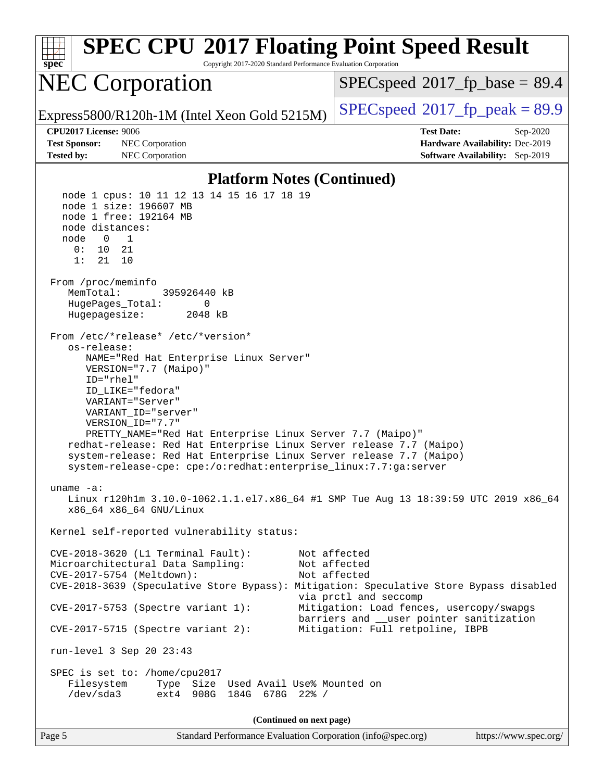| <b>SPEC CPU®2017 Floating Point Speed Result</b><br>spec<br>Copyright 2017-2020 Standard Performance Evaluation Corporation                                                                                                                                                                                                                                                                                                                                                                         |                                                                                                                   |  |  |  |  |  |
|-----------------------------------------------------------------------------------------------------------------------------------------------------------------------------------------------------------------------------------------------------------------------------------------------------------------------------------------------------------------------------------------------------------------------------------------------------------------------------------------------------|-------------------------------------------------------------------------------------------------------------------|--|--|--|--|--|
| <b>NEC Corporation</b>                                                                                                                                                                                                                                                                                                                                                                                                                                                                              | $SPEC speed^{\circ}2017\_fp\_base = 89.4$                                                                         |  |  |  |  |  |
| Express5800/R120h-1M (Intel Xeon Gold 5215M)                                                                                                                                                                                                                                                                                                                                                                                                                                                        | $SPEC speed^{\circ}2017\_fp\_peak = 89.9$                                                                         |  |  |  |  |  |
| <b>CPU2017 License: 9006</b><br><b>Test Sponsor:</b><br>NEC Corporation<br><b>Tested by:</b><br>NEC Corporation                                                                                                                                                                                                                                                                                                                                                                                     | <b>Test Date:</b><br>Sep-2020<br>Hardware Availability: Dec-2019<br>Software Availability: Sep-2019               |  |  |  |  |  |
| <b>Platform Notes (Continued)</b>                                                                                                                                                                                                                                                                                                                                                                                                                                                                   |                                                                                                                   |  |  |  |  |  |
| node 1 cpus: 10 11 12 13 14 15 16 17 18 19<br>node 1 size: 196607 MB<br>node 1 free: 192164 MB<br>node distances:<br>$\overline{1}$<br>node<br>$\overline{0}$<br>0:<br>10<br>21<br>21<br>1:<br>10<br>From /proc/meminfo<br>MemTotal:<br>395926440 kB<br>HugePages_Total:<br>0<br>Hugepagesize:<br>2048 kB                                                                                                                                                                                           |                                                                                                                   |  |  |  |  |  |
| From /etc/*release* /etc/*version*<br>os-release:<br>NAME="Red Hat Enterprise Linux Server"<br>VERSION="7.7 (Maipo)"<br>ID="rhel"<br>ID_LIKE="fedora"<br>VARIANT="Server"<br>VARIANT_ID="server"<br>VERSION_ID="7.7"<br>PRETTY_NAME="Red Hat Enterprise Linux Server 7.7 (Maipo)"<br>redhat-release: Red Hat Enterprise Linux Server release 7.7 (Maipo)<br>system-release: Red Hat Enterprise Linux Server release 7.7 (Maipo)<br>system-release-cpe: cpe:/o:redhat:enterprise_linux:7.7:ga:server |                                                                                                                   |  |  |  |  |  |
| uname $-a$ :<br>Linux r120hlm 3.10.0-1062.1.1.el7.x86_64 #1 SMP Tue Aug 13 18:39:59 UTC 2019 x86_64<br>x86 64 x86 64 GNU/Linux<br>Kernel self-reported vulnerability status:                                                                                                                                                                                                                                                                                                                        |                                                                                                                   |  |  |  |  |  |
| CVE-2018-3620 (L1 Terminal Fault):<br>Microarchitectural Data Sampling:<br>CVE-2017-5754 (Meltdown):<br>CVE-2018-3639 (Speculative Store Bypass): Mitigation: Speculative Store Bypass disabled<br>$CVE-2017-5753$ (Spectre variant 1):                                                                                                                                                                                                                                                             | Not affected<br>Not affected<br>Not affected<br>via prctl and seccomp<br>Mitigation: Load fences, usercopy/swapgs |  |  |  |  |  |
| $CVE-2017-5715$ (Spectre variant 2):                                                                                                                                                                                                                                                                                                                                                                                                                                                                | barriers and __user pointer sanitization<br>Mitigation: Full retpoline, IBPB                                      |  |  |  |  |  |
| run-level 3 Sep 20 23:43<br>SPEC is set to: /home/cpu2017<br>Filesystem<br>Type Size Used Avail Use% Mounted on<br>/dev/sda3<br>ext4 908G 184G 678G 22% /                                                                                                                                                                                                                                                                                                                                           |                                                                                                                   |  |  |  |  |  |
| (Continued on next page)                                                                                                                                                                                                                                                                                                                                                                                                                                                                            |                                                                                                                   |  |  |  |  |  |
| Page 5<br>Standard Performance Evaluation Corporation (info@spec.org)                                                                                                                                                                                                                                                                                                                                                                                                                               | https://www.spec.org/                                                                                             |  |  |  |  |  |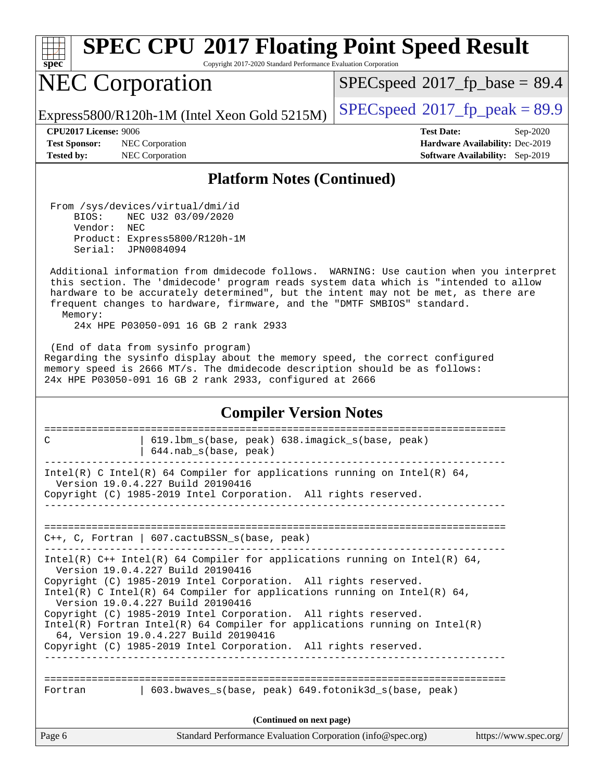| spe<br>C.<br>١ |  |  |  |  |  |  |
|----------------|--|--|--|--|--|--|

# **[SPEC CPU](http://www.spec.org/auto/cpu2017/Docs/result-fields.html#SPECCPU2017FloatingPointSpeedResult)[2017 Floating Point Speed Result](http://www.spec.org/auto/cpu2017/Docs/result-fields.html#SPECCPU2017FloatingPointSpeedResult)**

Copyright 2017-2020 Standard Performance Evaluation Corporation

## NEC Corporation

 $SPECspeed*2017_fp\_base = 89.4$  $SPECspeed*2017_fp\_base = 89.4$ 

Express5800/R120h-1M (Intel Xeon Gold 5215M)  $\left|$  [SPECspeed](http://www.spec.org/auto/cpu2017/Docs/result-fields.html#SPECspeed2017fppeak)®[2017\\_fp\\_peak = 8](http://www.spec.org/auto/cpu2017/Docs/result-fields.html#SPECspeed2017fppeak)9.9

**[Test Sponsor:](http://www.spec.org/auto/cpu2017/Docs/result-fields.html#TestSponsor)** NEC Corporation **[Hardware Availability:](http://www.spec.org/auto/cpu2017/Docs/result-fields.html#HardwareAvailability)** Dec-2019 **[Tested by:](http://www.spec.org/auto/cpu2017/Docs/result-fields.html#Testedby)** NEC Corporation **[Software Availability:](http://www.spec.org/auto/cpu2017/Docs/result-fields.html#SoftwareAvailability)** Sep-2019

**[CPU2017 License:](http://www.spec.org/auto/cpu2017/Docs/result-fields.html#CPU2017License)** 9006 **[Test Date:](http://www.spec.org/auto/cpu2017/Docs/result-fields.html#TestDate)** Sep-2020

### **[Platform Notes \(Continued\)](http://www.spec.org/auto/cpu2017/Docs/result-fields.html#PlatformNotes)**

 From /sys/devices/virtual/dmi/id BIOS: NEC U32 03/09/2020 Vendor: NEC Product: Express5800/R120h-1M Serial: JPN0084094

 Additional information from dmidecode follows. WARNING: Use caution when you interpret this section. The 'dmidecode' program reads system data which is "intended to allow hardware to be accurately determined", but the intent may not be met, as there are frequent changes to hardware, firmware, and the "DMTF SMBIOS" standard. Memory:

24x HPE P03050-091 16 GB 2 rank 2933

 (End of data from sysinfo program) Regarding the sysinfo display about the memory speed, the correct configured memory speed is 2666 MT/s. The dmidecode description should be as follows: 24x HPE P03050-091 16 GB 2 rank 2933, configured at 2666

#### **[Compiler Version Notes](http://www.spec.org/auto/cpu2017/Docs/result-fields.html#CompilerVersionNotes)**

| 619.1bm s(base, peak) 638.imagick s(base, peak)<br>C<br>$644.nab_s(base, peak)$                                                                                                                                                                                                                                                                                                                                                                                                                                                                                    |
|--------------------------------------------------------------------------------------------------------------------------------------------------------------------------------------------------------------------------------------------------------------------------------------------------------------------------------------------------------------------------------------------------------------------------------------------------------------------------------------------------------------------------------------------------------------------|
|                                                                                                                                                                                                                                                                                                                                                                                                                                                                                                                                                                    |
| Intel(R) C Intel(R) 64 Compiler for applications running on Intel(R) 64,<br>Version 19.0.4.227 Build 20190416<br>Copyright (C) 1985-2019 Intel Corporation. All rights reserved.                                                                                                                                                                                                                                                                                                                                                                                   |
| $C_{++}$ , C, Fortran   607. cactuBSSN s(base, peak)                                                                                                                                                                                                                                                                                                                                                                                                                                                                                                               |
| Intel(R) $C++$ Intel(R) 64 Compiler for applications running on Intel(R) 64,<br>Version 19.0.4.227 Build 20190416<br>Copyright (C) 1985-2019 Intel Corporation. All rights reserved.<br>Intel(R) C Intel(R) 64 Compiler for applications running on Intel(R) 64,<br>Version 19.0.4.227 Build 20190416<br>Copyright (C) 1985-2019 Intel Corporation. All rights reserved.<br>Intel(R) Fortran Intel(R) 64 Compiler for applications running on Intel(R)<br>64, Version 19.0.4.227 Build 20190416<br>Copyright (C) 1985-2019 Intel Corporation. All rights reserved. |
| 603.bwaves s(base, peak) 649.fotonik3d s(base, peak)<br>Fortran                                                                                                                                                                                                                                                                                                                                                                                                                                                                                                    |
| (Continued on next page)                                                                                                                                                                                                                                                                                                                                                                                                                                                                                                                                           |
| Page 6<br>Standard Performance Evaluation Corporation (info@spec.org)<br>https://www.spec.org/                                                                                                                                                                                                                                                                                                                                                                                                                                                                     |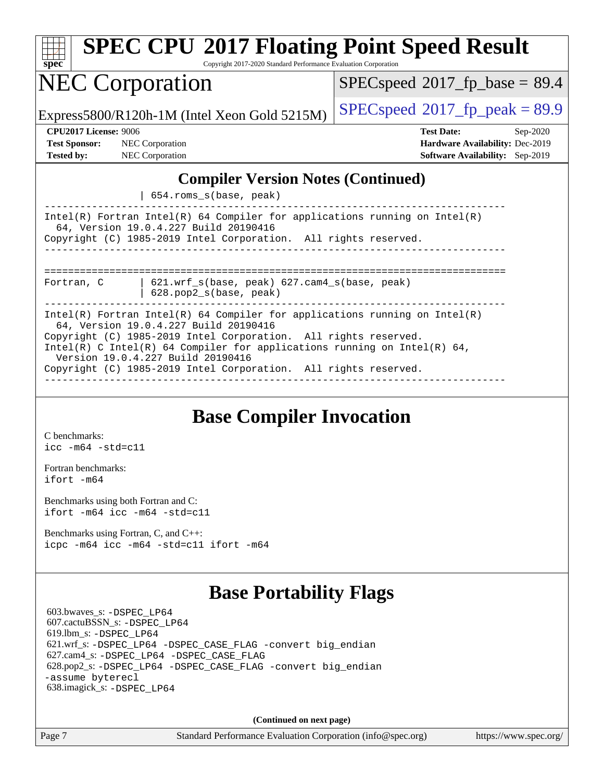| <b>SPEC CPU®2017 Floating Point Speed Result</b><br>Spec<br>Copyright 2017-2020 Standard Performance Evaluation Corporation                                                                                                                                   |                                                                                                            |
|---------------------------------------------------------------------------------------------------------------------------------------------------------------------------------------------------------------------------------------------------------------|------------------------------------------------------------------------------------------------------------|
| <b>NEC Corporation</b>                                                                                                                                                                                                                                        | $SPEC speed$ <sup>®</sup> 2017_fp_base = 89.4                                                              |
| Express5800/R120h-1M (Intel Xeon Gold 5215M)                                                                                                                                                                                                                  | $SPEC speed^{\circ}2017\_fp\_peak = 89.9$                                                                  |
| <b>CPU2017 License: 9006</b><br><b>Test Sponsor:</b><br><b>NEC</b> Corporation<br><b>Tested by:</b> NEC Corporation                                                                                                                                           | <b>Test Date:</b><br>Sep-2020<br>Hardware Availability: Dec-2019<br><b>Software Availability:</b> Sep-2019 |
| <b>Compiler Version Notes (Continued)</b><br>654.roms_s(base, peak)<br>Intel(R) Fortran Intel(R) 64 Compiler for applications running on Intel(R)<br>64, Version 19.0.4.227 Build 20190416<br>Copyright (C) 1985-2019 Intel Corporation. All rights reserved. |                                                                                                            |
| $621.$ wrf $s(base, peak)$ $627.$ cam4 $s(base, peak)$<br>Fortran, C<br>628.pop2_s(base, peak)                                                                                                                                                                |                                                                                                            |
| Intel(R) Fortran Intel(R) 64 Compiler for applications running on Intel(R)<br>64, Version 19.0.4.227 Build 20190416<br>Copyright (C) 1985-2019 Intel Corporation. All rights reserved.                                                                        |                                                                                                            |

Intel(R) C Intel(R) 64 Compiler for applications running on Intel(R) 64, Version 19.0.4.227 Build 20190416 Copyright (C) 1985-2019 Intel Corporation. All rights reserved.

------------------------------------------------------------------------------

### **[Base Compiler Invocation](http://www.spec.org/auto/cpu2017/Docs/result-fields.html#BaseCompilerInvocation)**

[C benchmarks](http://www.spec.org/auto/cpu2017/Docs/result-fields.html#Cbenchmarks): [icc -m64 -std=c11](http://www.spec.org/cpu2017/results/res2020q4/cpu2017-20200928-24114.flags.html#user_CCbase_intel_icc_64bit_c11_33ee0cdaae7deeeab2a9725423ba97205ce30f63b9926c2519791662299b76a0318f32ddfffdc46587804de3178b4f9328c46fa7c2b0cd779d7a61945c91cd35)

[Fortran benchmarks](http://www.spec.org/auto/cpu2017/Docs/result-fields.html#Fortranbenchmarks): [ifort -m64](http://www.spec.org/cpu2017/results/res2020q4/cpu2017-20200928-24114.flags.html#user_FCbase_intel_ifort_64bit_24f2bb282fbaeffd6157abe4f878425411749daecae9a33200eee2bee2fe76f3b89351d69a8130dd5949958ce389cf37ff59a95e7a40d588e8d3a57e0c3fd751)

[Benchmarks using both Fortran and C](http://www.spec.org/auto/cpu2017/Docs/result-fields.html#BenchmarksusingbothFortranandC): [ifort -m64](http://www.spec.org/cpu2017/results/res2020q4/cpu2017-20200928-24114.flags.html#user_CC_FCbase_intel_ifort_64bit_24f2bb282fbaeffd6157abe4f878425411749daecae9a33200eee2bee2fe76f3b89351d69a8130dd5949958ce389cf37ff59a95e7a40d588e8d3a57e0c3fd751) [icc -m64 -std=c11](http://www.spec.org/cpu2017/results/res2020q4/cpu2017-20200928-24114.flags.html#user_CC_FCbase_intel_icc_64bit_c11_33ee0cdaae7deeeab2a9725423ba97205ce30f63b9926c2519791662299b76a0318f32ddfffdc46587804de3178b4f9328c46fa7c2b0cd779d7a61945c91cd35)

[Benchmarks using Fortran, C, and C++:](http://www.spec.org/auto/cpu2017/Docs/result-fields.html#BenchmarksusingFortranCandCXX) [icpc -m64](http://www.spec.org/cpu2017/results/res2020q4/cpu2017-20200928-24114.flags.html#user_CC_CXX_FCbase_intel_icpc_64bit_4ecb2543ae3f1412ef961e0650ca070fec7b7afdcd6ed48761b84423119d1bf6bdf5cad15b44d48e7256388bc77273b966e5eb805aefd121eb22e9299b2ec9d9) [icc -m64 -std=c11](http://www.spec.org/cpu2017/results/res2020q4/cpu2017-20200928-24114.flags.html#user_CC_CXX_FCbase_intel_icc_64bit_c11_33ee0cdaae7deeeab2a9725423ba97205ce30f63b9926c2519791662299b76a0318f32ddfffdc46587804de3178b4f9328c46fa7c2b0cd779d7a61945c91cd35) [ifort -m64](http://www.spec.org/cpu2017/results/res2020q4/cpu2017-20200928-24114.flags.html#user_CC_CXX_FCbase_intel_ifort_64bit_24f2bb282fbaeffd6157abe4f878425411749daecae9a33200eee2bee2fe76f3b89351d69a8130dd5949958ce389cf37ff59a95e7a40d588e8d3a57e0c3fd751)

### **[Base Portability Flags](http://www.spec.org/auto/cpu2017/Docs/result-fields.html#BasePortabilityFlags)**

 603.bwaves\_s: [-DSPEC\\_LP64](http://www.spec.org/cpu2017/results/res2020q4/cpu2017-20200928-24114.flags.html#suite_basePORTABILITY603_bwaves_s_DSPEC_LP64) 607.cactuBSSN\_s: [-DSPEC\\_LP64](http://www.spec.org/cpu2017/results/res2020q4/cpu2017-20200928-24114.flags.html#suite_basePORTABILITY607_cactuBSSN_s_DSPEC_LP64) 619.lbm\_s: [-DSPEC\\_LP64](http://www.spec.org/cpu2017/results/res2020q4/cpu2017-20200928-24114.flags.html#suite_basePORTABILITY619_lbm_s_DSPEC_LP64) 621.wrf\_s: [-DSPEC\\_LP64](http://www.spec.org/cpu2017/results/res2020q4/cpu2017-20200928-24114.flags.html#suite_basePORTABILITY621_wrf_s_DSPEC_LP64) [-DSPEC\\_CASE\\_FLAG](http://www.spec.org/cpu2017/results/res2020q4/cpu2017-20200928-24114.flags.html#b621.wrf_s_baseCPORTABILITY_DSPEC_CASE_FLAG) [-convert big\\_endian](http://www.spec.org/cpu2017/results/res2020q4/cpu2017-20200928-24114.flags.html#user_baseFPORTABILITY621_wrf_s_convert_big_endian_c3194028bc08c63ac5d04de18c48ce6d347e4e562e8892b8bdbdc0214820426deb8554edfa529a3fb25a586e65a3d812c835984020483e7e73212c4d31a38223) 627.cam4\_s: [-DSPEC\\_LP64](http://www.spec.org/cpu2017/results/res2020q4/cpu2017-20200928-24114.flags.html#suite_basePORTABILITY627_cam4_s_DSPEC_LP64) [-DSPEC\\_CASE\\_FLAG](http://www.spec.org/cpu2017/results/res2020q4/cpu2017-20200928-24114.flags.html#b627.cam4_s_baseCPORTABILITY_DSPEC_CASE_FLAG) 628.pop2\_s: [-DSPEC\\_LP64](http://www.spec.org/cpu2017/results/res2020q4/cpu2017-20200928-24114.flags.html#suite_basePORTABILITY628_pop2_s_DSPEC_LP64) [-DSPEC\\_CASE\\_FLAG](http://www.spec.org/cpu2017/results/res2020q4/cpu2017-20200928-24114.flags.html#b628.pop2_s_baseCPORTABILITY_DSPEC_CASE_FLAG) [-convert big\\_endian](http://www.spec.org/cpu2017/results/res2020q4/cpu2017-20200928-24114.flags.html#user_baseFPORTABILITY628_pop2_s_convert_big_endian_c3194028bc08c63ac5d04de18c48ce6d347e4e562e8892b8bdbdc0214820426deb8554edfa529a3fb25a586e65a3d812c835984020483e7e73212c4d31a38223) [-assume byterecl](http://www.spec.org/cpu2017/results/res2020q4/cpu2017-20200928-24114.flags.html#user_baseFPORTABILITY628_pop2_s_assume_byterecl_7e47d18b9513cf18525430bbf0f2177aa9bf368bc7a059c09b2c06a34b53bd3447c950d3f8d6c70e3faf3a05c8557d66a5798b567902e8849adc142926523472) 638.imagick\_s: [-DSPEC\\_LP64](http://www.spec.org/cpu2017/results/res2020q4/cpu2017-20200928-24114.flags.html#suite_basePORTABILITY638_imagick_s_DSPEC_LP64)

**(Continued on next page)**

Page 7 Standard Performance Evaluation Corporation [\(info@spec.org\)](mailto:info@spec.org) <https://www.spec.org/>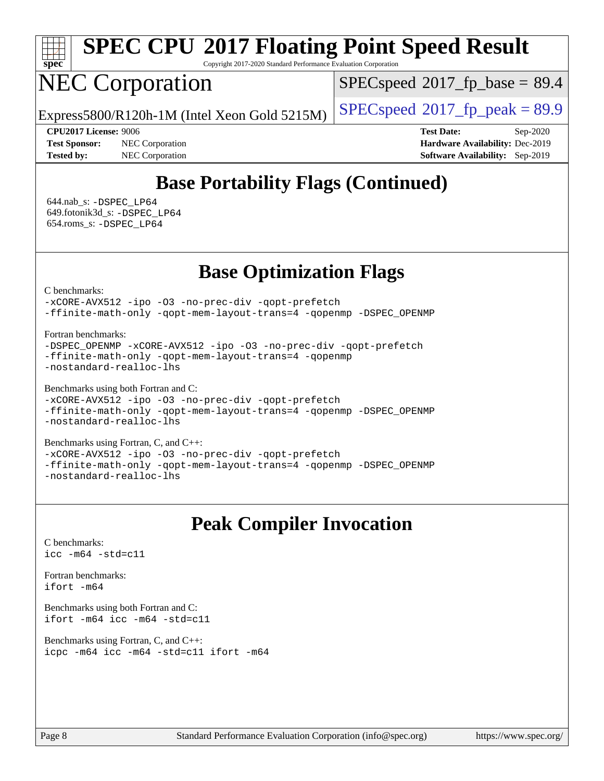

# **[SPEC CPU](http://www.spec.org/auto/cpu2017/Docs/result-fields.html#SPECCPU2017FloatingPointSpeedResult)[2017 Floating Point Speed Result](http://www.spec.org/auto/cpu2017/Docs/result-fields.html#SPECCPU2017FloatingPointSpeedResult)**

Copyright 2017-2020 Standard Performance Evaluation Corporation

## NEC Corporation

 $SPECspeed*2017_fp\_base = 89.4$  $SPECspeed*2017_fp\_base = 89.4$ 

Express5800/R120h-1M (Intel Xeon Gold 5215M)  $\left|$  [SPECspeed](http://www.spec.org/auto/cpu2017/Docs/result-fields.html#SPECspeed2017fppeak)®[2017\\_fp\\_peak = 8](http://www.spec.org/auto/cpu2017/Docs/result-fields.html#SPECspeed2017fppeak)9.9

**[CPU2017 License:](http://www.spec.org/auto/cpu2017/Docs/result-fields.html#CPU2017License)** 9006 **[Test Date:](http://www.spec.org/auto/cpu2017/Docs/result-fields.html#TestDate)** Sep-2020 **[Test Sponsor:](http://www.spec.org/auto/cpu2017/Docs/result-fields.html#TestSponsor)** NEC Corporation **[Hardware Availability:](http://www.spec.org/auto/cpu2017/Docs/result-fields.html#HardwareAvailability)** Dec-2019 **[Tested by:](http://www.spec.org/auto/cpu2017/Docs/result-fields.html#Testedby)** NEC Corporation **[Software Availability:](http://www.spec.org/auto/cpu2017/Docs/result-fields.html#SoftwareAvailability)** Sep-2019

## **[Base Portability Flags \(Continued\)](http://www.spec.org/auto/cpu2017/Docs/result-fields.html#BasePortabilityFlags)**

 644.nab\_s: [-DSPEC\\_LP64](http://www.spec.org/cpu2017/results/res2020q4/cpu2017-20200928-24114.flags.html#suite_basePORTABILITY644_nab_s_DSPEC_LP64) 649.fotonik3d\_s: [-DSPEC\\_LP64](http://www.spec.org/cpu2017/results/res2020q4/cpu2017-20200928-24114.flags.html#suite_basePORTABILITY649_fotonik3d_s_DSPEC_LP64) 654.roms\_s: [-DSPEC\\_LP64](http://www.spec.org/cpu2017/results/res2020q4/cpu2017-20200928-24114.flags.html#suite_basePORTABILITY654_roms_s_DSPEC_LP64)

### **[Base Optimization Flags](http://www.spec.org/auto/cpu2017/Docs/result-fields.html#BaseOptimizationFlags)**

[C benchmarks](http://www.spec.org/auto/cpu2017/Docs/result-fields.html#Cbenchmarks):

[-xCORE-AVX512](http://www.spec.org/cpu2017/results/res2020q4/cpu2017-20200928-24114.flags.html#user_CCbase_f-xCORE-AVX512) [-ipo](http://www.spec.org/cpu2017/results/res2020q4/cpu2017-20200928-24114.flags.html#user_CCbase_f-ipo) [-O3](http://www.spec.org/cpu2017/results/res2020q4/cpu2017-20200928-24114.flags.html#user_CCbase_f-O3) [-no-prec-div](http://www.spec.org/cpu2017/results/res2020q4/cpu2017-20200928-24114.flags.html#user_CCbase_f-no-prec-div) [-qopt-prefetch](http://www.spec.org/cpu2017/results/res2020q4/cpu2017-20200928-24114.flags.html#user_CCbase_f-qopt-prefetch) [-ffinite-math-only](http://www.spec.org/cpu2017/results/res2020q4/cpu2017-20200928-24114.flags.html#user_CCbase_f_finite_math_only_cb91587bd2077682c4b38af759c288ed7c732db004271a9512da14a4f8007909a5f1427ecbf1a0fb78ff2a814402c6114ac565ca162485bbcae155b5e4258871) [-qopt-mem-layout-trans=4](http://www.spec.org/cpu2017/results/res2020q4/cpu2017-20200928-24114.flags.html#user_CCbase_f-qopt-mem-layout-trans_fa39e755916c150a61361b7846f310bcdf6f04e385ef281cadf3647acec3f0ae266d1a1d22d972a7087a248fd4e6ca390a3634700869573d231a252c784941a8) [-qopenmp](http://www.spec.org/cpu2017/results/res2020q4/cpu2017-20200928-24114.flags.html#user_CCbase_qopenmp_16be0c44f24f464004c6784a7acb94aca937f053568ce72f94b139a11c7c168634a55f6653758ddd83bcf7b8463e8028bb0b48b77bcddc6b78d5d95bb1df2967) [-DSPEC\\_OPENMP](http://www.spec.org/cpu2017/results/res2020q4/cpu2017-20200928-24114.flags.html#suite_CCbase_DSPEC_OPENMP)

[Fortran benchmarks](http://www.spec.org/auto/cpu2017/Docs/result-fields.html#Fortranbenchmarks):

```
-DSPEC_OPENMP -xCORE-AVX512 -ipo -O3 -no-prec-div -qopt-prefetch
-ffinite-math-only -qopt-mem-layout-trans=4 -qopenmp
-nostandard-realloc-lhs
```
[Benchmarks using both Fortran and C](http://www.spec.org/auto/cpu2017/Docs/result-fields.html#BenchmarksusingbothFortranandC):

```
-xCORE-AVX512-ipo-no-prec-div-qopt-prefetch
-ffinite-math-only -qopt-mem-layout-trans=4 -qopenmp -DSPEC_OPENMP
-nostandard-realloc-lhs
```
[Benchmarks using Fortran, C, and C++:](http://www.spec.org/auto/cpu2017/Docs/result-fields.html#BenchmarksusingFortranCandCXX) [-xCORE-AVX512](http://www.spec.org/cpu2017/results/res2020q4/cpu2017-20200928-24114.flags.html#user_CC_CXX_FCbase_f-xCORE-AVX512) [-ipo](http://www.spec.org/cpu2017/results/res2020q4/cpu2017-20200928-24114.flags.html#user_CC_CXX_FCbase_f-ipo) [-O3](http://www.spec.org/cpu2017/results/res2020q4/cpu2017-20200928-24114.flags.html#user_CC_CXX_FCbase_f-O3) [-no-prec-div](http://www.spec.org/cpu2017/results/res2020q4/cpu2017-20200928-24114.flags.html#user_CC_CXX_FCbase_f-no-prec-div) [-qopt-prefetch](http://www.spec.org/cpu2017/results/res2020q4/cpu2017-20200928-24114.flags.html#user_CC_CXX_FCbase_f-qopt-prefetch) [-ffinite-math-only](http://www.spec.org/cpu2017/results/res2020q4/cpu2017-20200928-24114.flags.html#user_CC_CXX_FCbase_f_finite_math_only_cb91587bd2077682c4b38af759c288ed7c732db004271a9512da14a4f8007909a5f1427ecbf1a0fb78ff2a814402c6114ac565ca162485bbcae155b5e4258871) [-qopt-mem-layout-trans=4](http://www.spec.org/cpu2017/results/res2020q4/cpu2017-20200928-24114.flags.html#user_CC_CXX_FCbase_f-qopt-mem-layout-trans_fa39e755916c150a61361b7846f310bcdf6f04e385ef281cadf3647acec3f0ae266d1a1d22d972a7087a248fd4e6ca390a3634700869573d231a252c784941a8) [-qopenmp](http://www.spec.org/cpu2017/results/res2020q4/cpu2017-20200928-24114.flags.html#user_CC_CXX_FCbase_qopenmp_16be0c44f24f464004c6784a7acb94aca937f053568ce72f94b139a11c7c168634a55f6653758ddd83bcf7b8463e8028bb0b48b77bcddc6b78d5d95bb1df2967) [-DSPEC\\_OPENMP](http://www.spec.org/cpu2017/results/res2020q4/cpu2017-20200928-24114.flags.html#suite_CC_CXX_FCbase_DSPEC_OPENMP) [-nostandard-realloc-lhs](http://www.spec.org/cpu2017/results/res2020q4/cpu2017-20200928-24114.flags.html#user_CC_CXX_FCbase_f_2003_std_realloc_82b4557e90729c0f113870c07e44d33d6f5a304b4f63d4c15d2d0f1fab99f5daaed73bdb9275d9ae411527f28b936061aa8b9c8f2d63842963b95c9dd6426b8a)

### **[Peak Compiler Invocation](http://www.spec.org/auto/cpu2017/Docs/result-fields.html#PeakCompilerInvocation)**

[C benchmarks](http://www.spec.org/auto/cpu2017/Docs/result-fields.html#Cbenchmarks): [icc -m64 -std=c11](http://www.spec.org/cpu2017/results/res2020q4/cpu2017-20200928-24114.flags.html#user_CCpeak_intel_icc_64bit_c11_33ee0cdaae7deeeab2a9725423ba97205ce30f63b9926c2519791662299b76a0318f32ddfffdc46587804de3178b4f9328c46fa7c2b0cd779d7a61945c91cd35)

[Fortran benchmarks](http://www.spec.org/auto/cpu2017/Docs/result-fields.html#Fortranbenchmarks): [ifort -m64](http://www.spec.org/cpu2017/results/res2020q4/cpu2017-20200928-24114.flags.html#user_FCpeak_intel_ifort_64bit_24f2bb282fbaeffd6157abe4f878425411749daecae9a33200eee2bee2fe76f3b89351d69a8130dd5949958ce389cf37ff59a95e7a40d588e8d3a57e0c3fd751)

[Benchmarks using both Fortran and C](http://www.spec.org/auto/cpu2017/Docs/result-fields.html#BenchmarksusingbothFortranandC): [ifort -m64](http://www.spec.org/cpu2017/results/res2020q4/cpu2017-20200928-24114.flags.html#user_CC_FCpeak_intel_ifort_64bit_24f2bb282fbaeffd6157abe4f878425411749daecae9a33200eee2bee2fe76f3b89351d69a8130dd5949958ce389cf37ff59a95e7a40d588e8d3a57e0c3fd751) [icc -m64 -std=c11](http://www.spec.org/cpu2017/results/res2020q4/cpu2017-20200928-24114.flags.html#user_CC_FCpeak_intel_icc_64bit_c11_33ee0cdaae7deeeab2a9725423ba97205ce30f63b9926c2519791662299b76a0318f32ddfffdc46587804de3178b4f9328c46fa7c2b0cd779d7a61945c91cd35)

[Benchmarks using Fortran, C, and C++:](http://www.spec.org/auto/cpu2017/Docs/result-fields.html#BenchmarksusingFortranCandCXX) [icpc -m64](http://www.spec.org/cpu2017/results/res2020q4/cpu2017-20200928-24114.flags.html#user_CC_CXX_FCpeak_intel_icpc_64bit_4ecb2543ae3f1412ef961e0650ca070fec7b7afdcd6ed48761b84423119d1bf6bdf5cad15b44d48e7256388bc77273b966e5eb805aefd121eb22e9299b2ec9d9) [icc -m64 -std=c11](http://www.spec.org/cpu2017/results/res2020q4/cpu2017-20200928-24114.flags.html#user_CC_CXX_FCpeak_intel_icc_64bit_c11_33ee0cdaae7deeeab2a9725423ba97205ce30f63b9926c2519791662299b76a0318f32ddfffdc46587804de3178b4f9328c46fa7c2b0cd779d7a61945c91cd35) [ifort -m64](http://www.spec.org/cpu2017/results/res2020q4/cpu2017-20200928-24114.flags.html#user_CC_CXX_FCpeak_intel_ifort_64bit_24f2bb282fbaeffd6157abe4f878425411749daecae9a33200eee2bee2fe76f3b89351d69a8130dd5949958ce389cf37ff59a95e7a40d588e8d3a57e0c3fd751)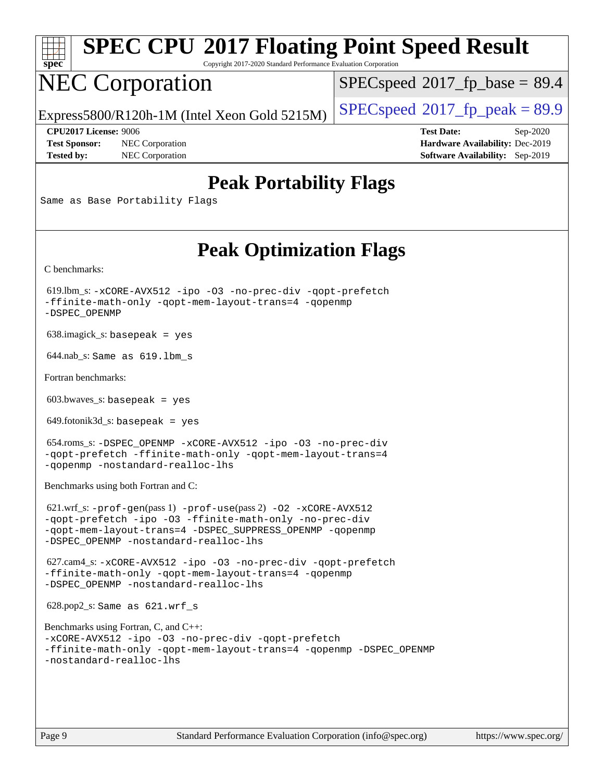| <b>SPEC CPU®2017 Floating Point Speed Result</b><br>$spec^*$<br>Copyright 2017-2020 Standard Performance Evaluation Corporation                                                                                                     |                                                                                                     |
|-------------------------------------------------------------------------------------------------------------------------------------------------------------------------------------------------------------------------------------|-----------------------------------------------------------------------------------------------------|
| <b>NEC Corporation</b>                                                                                                                                                                                                              | $SPEC speed^{\circ}2017\_fp\_base = 89.4$                                                           |
| Express5800/R120h-1M (Intel Xeon Gold 5215M)                                                                                                                                                                                        | $SPEC speed$ <sup>®</sup> 2017_fp_peak = 89.9                                                       |
| <b>CPU2017 License: 9006</b><br><b>Test Sponsor:</b><br>NEC Corporation<br><b>Tested by:</b><br>NEC Corporation                                                                                                                     | <b>Test Date:</b><br>Sep-2020<br>Hardware Availability: Dec-2019<br>Software Availability: Sep-2019 |
| <b>Peak Portability Flags</b><br>Same as Base Portability Flags                                                                                                                                                                     |                                                                                                     |
| <b>Peak Optimization Flags</b>                                                                                                                                                                                                      |                                                                                                     |
| C benchmarks:                                                                                                                                                                                                                       |                                                                                                     |
| 619.lbm_s: -xCORE-AVX512 -ipo -03 -no-prec-div -qopt-prefetch<br>-ffinite-math-only -qopt-mem-layout-trans=4 -qopenmp<br>-DSPEC_OPENMP                                                                                              |                                                                                                     |
| $638.\text{imagek}_s:$ basepeak = yes                                                                                                                                                                                               |                                                                                                     |
| $644.nab$ <sub>S</sub> : Same as $619.lbm_s$                                                                                                                                                                                        |                                                                                                     |
| Fortran benchmarks:                                                                                                                                                                                                                 |                                                                                                     |
| $603.bwaves$ s: basepeak = yes                                                                                                                                                                                                      |                                                                                                     |
| $649$ .fotonik $3d$ <sub>-</sub> s: basepeak = yes                                                                                                                                                                                  |                                                                                                     |
| 654.roms_s: -DSPEC_OPENMP -xCORE-AVX512 -ipo -03 -no-prec-div<br>-qopt-prefetch -ffinite-math-only -qopt-mem-layout-trans=4<br>-gopenmp -nostandard-realloc-lhs                                                                     |                                                                                                     |
| Benchmarks using both Fortran and C:                                                                                                                                                                                                |                                                                                                     |
| $621.wrf$ _s: -prof-gen(pass 1) -prof-use(pass 2) -02 -xCORE-AVX512<br>-qopt-prefetch -ipo -03 -ffinite-math-only -no-prec-div<br>-gopt-mem-layout-trans=4 -DSPEC_SUPPRESS_OPENMP -gopenmp<br>-DSPEC OPENMP -nostandard-realloc-lhs |                                                                                                     |
| 627.cam4_s: -xCORE-AVX512 -ipo -03 -no-prec-div -qopt-prefetch<br>-ffinite-math-only -qopt-mem-layout-trans=4 -qopenmp<br>-DSPEC_OPENMP -nostandard-realloc-lhs                                                                     |                                                                                                     |
| 628.pop2_s: Same as 621.wrf_s                                                                                                                                                                                                       |                                                                                                     |
| Benchmarks using Fortran, C, and C++:<br>-xCORE-AVX512 -ipo -03 -no-prec-div -qopt-prefetch<br>-ffinite-math-only -qopt-mem-layout-trans=4 -qopenmp -DSPEC_OPENMP<br>-nostandard-realloc-lhs                                        |                                                                                                     |
|                                                                                                                                                                                                                                     |                                                                                                     |